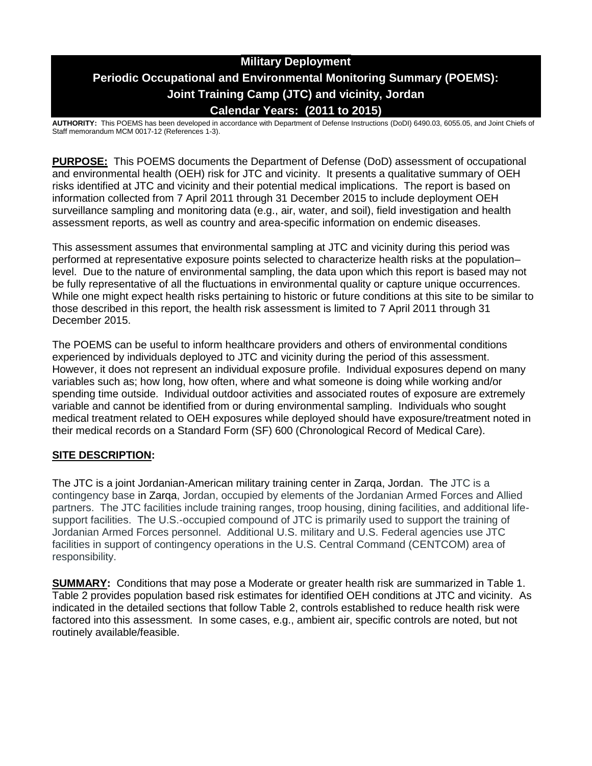# **Military Deployment Periodic Occupational and Environmental Monitoring Summary (POEMS): Joint Training Camp (JTC) and vicinity, Jordan Calendar Years: (2011 to 2015)**

**AUTHORITY:** This POEMS has been developed in accordance with Department of Defense Instructions (DoDI) 6490.03, 6055.05, and Joint Chiefs of Staff memorandum MCM 0017-12 (References 1-3).

**PURPOSE:** This POEMS documents the Department of Defense (DoD) assessment of occupational and environmental health (OEH) risk for JTC and vicinity. It presents a qualitative summary of OEH risks identified at JTC and vicinity and their potential medical implications. The report is based on information collected from 7 April 2011 through 31 December 2015 to include deployment OEH surveillance sampling and monitoring data (e.g., air, water, and soil), field investigation and health assessment reports, as well as country and area-specific information on endemic diseases.

This assessment assumes that environmental sampling at JTC and vicinity during this period was performed at representative exposure points selected to characterize health risks at the population– level. Due to the nature of environmental sampling, the data upon which this report is based may not be fully representative of all the fluctuations in environmental quality or capture unique occurrences. While one might expect health risks pertaining to historic or future conditions at this site to be similar to those described in this report, the health risk assessment is limited to 7 April 2011 through 31 December 2015.

The POEMS can be useful to inform healthcare providers and others of environmental conditions experienced by individuals deployed to JTC and vicinity during the period of this assessment. However, it does not represent an individual exposure profile. Individual exposures depend on many variables such as; how long, how often, where and what someone is doing while working and/or spending time outside. Individual outdoor activities and associated routes of exposure are extremely variable and cannot be identified from or during environmental sampling. Individuals who sought medical treatment related to OEH exposures while deployed should have exposure/treatment noted in their medical records on a Standard Form (SF) 600 (Chronological Record of Medical Care).

# **SITE DESCRIPTION:**

The JTC is a joint Jordanian-American military training center in Zarqa, Jordan. The JTC is a contingency base in Zarqa, Jordan, occupied by elements of the Jordanian Armed Forces and Allied partners. The JTC facilities include training ranges, troop housing, dining facilities, and additional lifesupport facilities. The U.S.-occupied compound of JTC is primarily used to support the training of Jordanian Armed Forces personnel. Additional U.S. military and U.S. Federal agencies use JTC facilities in support of contingency operations in the U.S. Central Command (CENTCOM) area of responsibility.

**SUMMARY:** Conditions that may pose a Moderate or greater health risk are summarized in Table 1. Table 2 provides population based risk estimates for identified OEH conditions at JTC and vicinity. As indicated in the detailed sections that follow Table 2, controls established to reduce health risk were factored into this assessment. In some cases, e.g., ambient air, specific controls are noted, but not routinely available/feasible.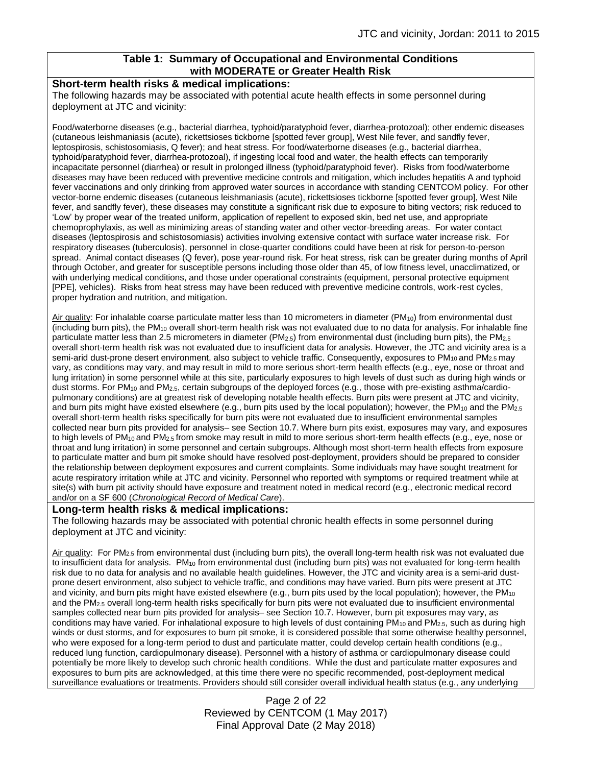## **Table 1: Summary of Occupational and Environmental Conditions with MODERATE or Greater Health Risk**

#### **Short-term health risks & medical implications:**

The following hazards may be associated with potential acute health effects in some personnel during deployment at JTC and vicinity:

Food/waterborne diseases (e.g., bacterial diarrhea, typhoid/paratyphoid fever, diarrhea-protozoal); other endemic diseases (cutaneous leishmaniasis (acute), rickettsioses tickborne [spotted fever group], West Nile fever, and sandfly fever, leptospirosis, schistosomiasis, Q fever); and heat stress. For food/waterborne diseases (e.g., bacterial diarrhea, typhoid/paratyphoid fever, diarrhea-protozoal), if ingesting local food and water, the health effects can temporarily incapacitate personnel (diarrhea) or result in prolonged illness (typhoid/paratyphoid fever). Risks from food/waterborne diseases may have been reduced with preventive medicine controls and mitigation, which includes hepatitis A and typhoid fever vaccinations and only drinking from approved water sources in accordance with standing CENTCOM policy. For other vector-borne endemic diseases (cutaneous leishmaniasis (acute), rickettsioses tickborne [spotted fever group], West Nile fever, and sandfly fever), these diseases may constitute a significant risk due to exposure to biting vectors; risk reduced to 'Low' by proper wear of the treated uniform, application of repellent to exposed skin, bed net use, and appropriate chemoprophylaxis, as well as minimizing areas of standing water and other vector-breeding areas. For water contact diseases (leptospirosis and schistosomiasis) activities involving extensive contact with surface water increase risk. For respiratory diseases (tuberculosis), personnel in close-quarter conditions could have been at risk for person-to-person spread. Animal contact diseases (Q fever), pose year-round risk. For heat stress, risk can be greater during months of April through October, and greater for susceptible persons including those older than 45, of low fitness level, unacclimatized, or with underlying medical conditions, and those under operational constraints (equipment, personal protective equipment [PPE], vehicles). Risks from heat stress may have been reduced with preventive medicine controls, work-rest cycles, proper hydration and nutrition, and mitigation.

Air quality: For inhalable coarse particulate matter less than 10 micrometers in diameter (PM<sub>10</sub>) from environmental dust (including burn pits), the PM<sup>10</sup> overall short-term health risk was not evaluated due to no data for analysis. For inhalable fine particulate matter less than 2.5 micrometers in diameter (PM<sub>2.5</sub>) from environmental dust (including burn pits), the PM<sub>2.5</sub> overall short-term health risk was not evaluated due to insufficient data for analysis. However, the JTC and vicinity area is a semi-arid dust-prone desert environment, also subject to vehicle traffic. Consequently, exposures to PM<sub>10</sub> and PM<sub>2.5</sub> may vary, as conditions may vary, and may result in mild to more serious short-term health effects (e.g., eye, nose or throat and lung irritation) in some personnel while at this site, particularly exposures to high levels of dust such as during high winds or dust storms. For PM<sub>10</sub> and PM<sub>2.5</sub>, certain subgroups of the deployed forces (e.g., those with pre-existing asthma/cardiopulmonary conditions) are at greatest risk of developing notable health effects. Burn pits were present at JTC and vicinity, and burn pits might have existed elsewhere (e.g., burn pits used by the local population); however, the PM<sub>10</sub> and the PM<sub>2.5</sub> overall short-term health risks specifically for burn pits were not evaluated due to insufficient environmental samples collected near burn pits provided for analysis– see Section 10.7. Where burn pits exist, exposures may vary, and exposures to high levels of PM<sub>10</sub> and PM<sub>2.5</sub> from smoke may result in mild to more serious short-term health effects (e.g., eye, nose or throat and lung irritation) in some personnel and certain subgroups. Although most short-term health effects from exposure to particulate matter and burn pit smoke should have resolved post-deployment, providers should be prepared to consider the relationship between deployment exposures and current complaints. Some individuals may have sought treatment for acute respiratory irritation while at JTC and vicinity. Personnel who reported with symptoms or required treatment while at site(s) with burn pit activity should have exposure and treatment noted in medical record (e.g., electronic medical record and/or on a SF 600 (*Chronological Record of Medical Care*).

#### **Long-term health risks & medical implications:**

The following hazards may be associated with potential chronic health effects in some personnel during deployment at JTC and vicinity:

Air quality: For PM<sub>2.5</sub> from environmental dust (including burn pits), the overall long-term health risk was not evaluated due to insufficient data for analysis. PM<sub>10</sub> from environmental dust (including burn pits) was not evaluated for long-term health risk due to no data for analysis and no available health guidelines. However, the JTC and vicinity area is a semi-arid dustprone desert environment, also subject to vehicle traffic, and conditions may have varied. Burn pits were present at JTC and vicinity, and burn pits might have existed elsewhere (e.g., burn pits used by the local population); however, the PM<sub>10</sub> and the PM2.5 overall long-term health risks specifically for burn pits were not evaluated due to insufficient environmental samples collected near burn pits provided for analysis– see Section 10.7. However, burn pit exposures may vary, as conditions may have varied. For inhalational exposure to high levels of dust containing  $PM_{10}$  and  $PM_{2.5}$ , such as during high winds or dust storms, and for exposures to burn pit smoke, it is considered possible that some otherwise healthy personnel, who were exposed for a long-term period to dust and particulate matter, could develop certain health conditions (e.g., reduced lung function, cardiopulmonary disease). Personnel with a history of asthma or cardiopulmonary disease could potentially be more likely to develop such chronic health conditions. While the dust and particulate matter exposures and exposures to burn pits are acknowledged, at this time there were no specific recommended, post-deployment medical surveillance evaluations or treatments. Providers should still consider overall individual health status (e.g., any underlying

> Page 2 of 22 Reviewed by CENTCOM (1 May 2017) Final Approval Date (2 May 2018)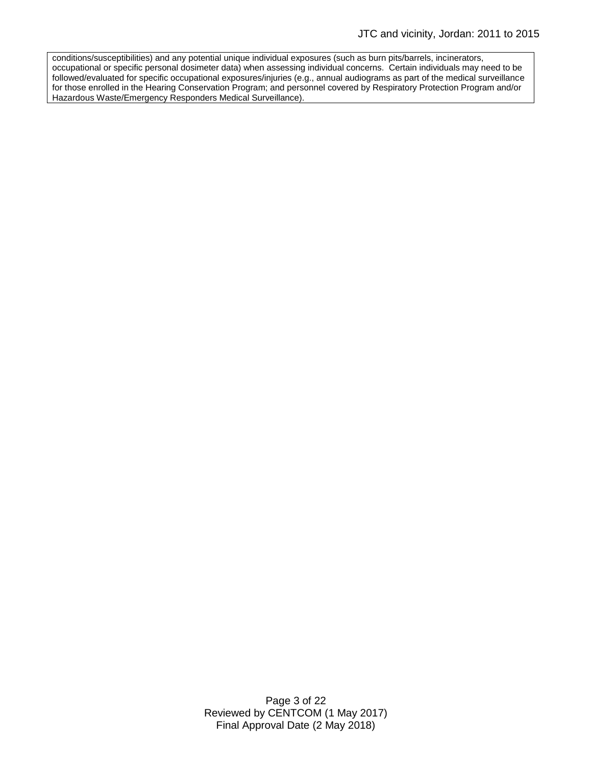conditions/susceptibilities) and any potential unique individual exposures (such as burn pits/barrels, incinerators, occupational or specific personal dosimeter data) when assessing individual concerns. Certain individuals may need to be followed/evaluated for specific occupational exposures/injuries (e.g., annual audiograms as part of the medical surveillance for those enrolled in the Hearing Conservation Program; and personnel covered by Respiratory Protection Program and/or Hazardous Waste/Emergency Responders Medical Surveillance).

> Page 3 of 22 Reviewed by CENTCOM (1 May 2017) Final Approval Date (2 May 2018)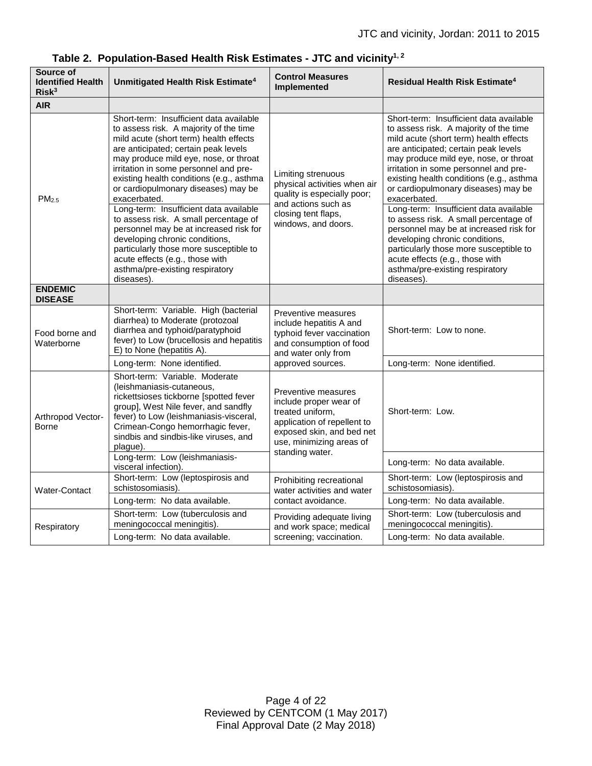| Source of<br><b>Identified Health</b><br>Risk <sup>3</sup> | Unmitigated Health Risk Estimate <sup>4</sup>                                                                                                                                                                                                                                                                                                                                                                                                                                                                                                                                                                                                         | <b>Control Measures</b><br>Implemented                                                                                                                                       | <b>Residual Health Risk Estimate<sup>4</sup></b>                                                                                                                                                                                                                                                                                                                                                                                                                                                                                                                                                                                                      |
|------------------------------------------------------------|-------------------------------------------------------------------------------------------------------------------------------------------------------------------------------------------------------------------------------------------------------------------------------------------------------------------------------------------------------------------------------------------------------------------------------------------------------------------------------------------------------------------------------------------------------------------------------------------------------------------------------------------------------|------------------------------------------------------------------------------------------------------------------------------------------------------------------------------|-------------------------------------------------------------------------------------------------------------------------------------------------------------------------------------------------------------------------------------------------------------------------------------------------------------------------------------------------------------------------------------------------------------------------------------------------------------------------------------------------------------------------------------------------------------------------------------------------------------------------------------------------------|
| <b>AIR</b>                                                 |                                                                                                                                                                                                                                                                                                                                                                                                                                                                                                                                                                                                                                                       |                                                                                                                                                                              |                                                                                                                                                                                                                                                                                                                                                                                                                                                                                                                                                                                                                                                       |
| PM <sub>2.5</sub>                                          | Short-term: Insufficient data available<br>to assess risk. A majority of the time<br>mild acute (short term) health effects<br>are anticipated; certain peak levels<br>may produce mild eye, nose, or throat<br>irritation in some personnel and pre-<br>existing health conditions (e.g., asthma<br>or cardiopulmonary diseases) may be<br>exacerbated.<br>Long-term: Insufficient data available<br>to assess risk. A small percentage of<br>personnel may be at increased risk for<br>developing chronic conditions,<br>particularly those more susceptible to<br>acute effects (e.g., those with<br>asthma/pre-existing respiratory<br>diseases). | Limiting strenuous<br>physical activities when air<br>quality is especially poor;<br>and actions such as<br>closing tent flaps,<br>windows, and doors.                       | Short-term: Insufficient data available<br>to assess risk. A majority of the time<br>mild acute (short term) health effects<br>are anticipated; certain peak levels<br>may produce mild eye, nose, or throat<br>irritation in some personnel and pre-<br>existing health conditions (e.g., asthma<br>or cardiopulmonary diseases) may be<br>exacerbated.<br>Long-term: Insufficient data available<br>to assess risk. A small percentage of<br>personnel may be at increased risk for<br>developing chronic conditions,<br>particularly those more susceptible to<br>acute effects (e.g., those with<br>asthma/pre-existing respiratory<br>diseases). |
| <b>ENDEMIC</b><br><b>DISEASE</b>                           |                                                                                                                                                                                                                                                                                                                                                                                                                                                                                                                                                                                                                                                       |                                                                                                                                                                              |                                                                                                                                                                                                                                                                                                                                                                                                                                                                                                                                                                                                                                                       |
| Food borne and<br>Waterborne                               | Short-term: Variable. High (bacterial<br>diarrhea) to Moderate (protozoal<br>diarrhea and typhoid/paratyphoid<br>fever) to Low (brucellosis and hepatitis<br>E) to None (hepatitis A).                                                                                                                                                                                                                                                                                                                                                                                                                                                                | Preventive measures<br>include hepatitis A and<br>typhoid fever vaccination<br>and consumption of food<br>and water only from<br>approved sources.                           | Short-term: Low to none.                                                                                                                                                                                                                                                                                                                                                                                                                                                                                                                                                                                                                              |
|                                                            | Long-term: None identified.                                                                                                                                                                                                                                                                                                                                                                                                                                                                                                                                                                                                                           |                                                                                                                                                                              | Long-term: None identified.                                                                                                                                                                                                                                                                                                                                                                                                                                                                                                                                                                                                                           |
| Arthropod Vector-<br>Borne                                 | Short-term: Variable. Moderate<br>(leishmaniasis-cutaneous,<br>rickettsioses tickborne [spotted fever<br>group], West Nile fever, and sandfly<br>fever) to Low (leishmaniasis-visceral,<br>Crimean-Congo hemorrhagic fever,<br>sindbis and sindbis-like viruses, and<br>plague).                                                                                                                                                                                                                                                                                                                                                                      | Preventive measures<br>include proper wear of<br>treated uniform,<br>application of repellent to<br>exposed skin, and bed net<br>use, minimizing areas of<br>standing water. | Short-term: Low.                                                                                                                                                                                                                                                                                                                                                                                                                                                                                                                                                                                                                                      |
|                                                            | Long-term: Low (leishmaniasis-<br>visceral infection).                                                                                                                                                                                                                                                                                                                                                                                                                                                                                                                                                                                                |                                                                                                                                                                              | Long-term: No data available.                                                                                                                                                                                                                                                                                                                                                                                                                                                                                                                                                                                                                         |
| Water-Contact                                              | Short-term: Low (leptospirosis and<br>schistosomiasis)                                                                                                                                                                                                                                                                                                                                                                                                                                                                                                                                                                                                | Prohibiting recreational<br>water activities and water<br>contact avoidance.                                                                                                 | Short-term: Low (leptospirosis and<br>schistosomiasis).                                                                                                                                                                                                                                                                                                                                                                                                                                                                                                                                                                                               |
|                                                            | Long-term: No data available.                                                                                                                                                                                                                                                                                                                                                                                                                                                                                                                                                                                                                         |                                                                                                                                                                              | Long-term: No data available.                                                                                                                                                                                                                                                                                                                                                                                                                                                                                                                                                                                                                         |
| Respiratory                                                | Short-term: Low (tuberculosis and<br>meningococcal meningitis).                                                                                                                                                                                                                                                                                                                                                                                                                                                                                                                                                                                       | Providing adequate living<br>and work space; medical<br>screening; vaccination.                                                                                              | Short-term: Low (tuberculosis and<br>meningococcal meningitis).                                                                                                                                                                                                                                                                                                                                                                                                                                                                                                                                                                                       |
|                                                            | Long-term: No data available.                                                                                                                                                                                                                                                                                                                                                                                                                                                                                                                                                                                                                         |                                                                                                                                                                              | Long-term: No data available.                                                                                                                                                                                                                                                                                                                                                                                                                                                                                                                                                                                                                         |

# **Table 2. Population-Based Health Risk Estimates - JTC and vicinity1, 2**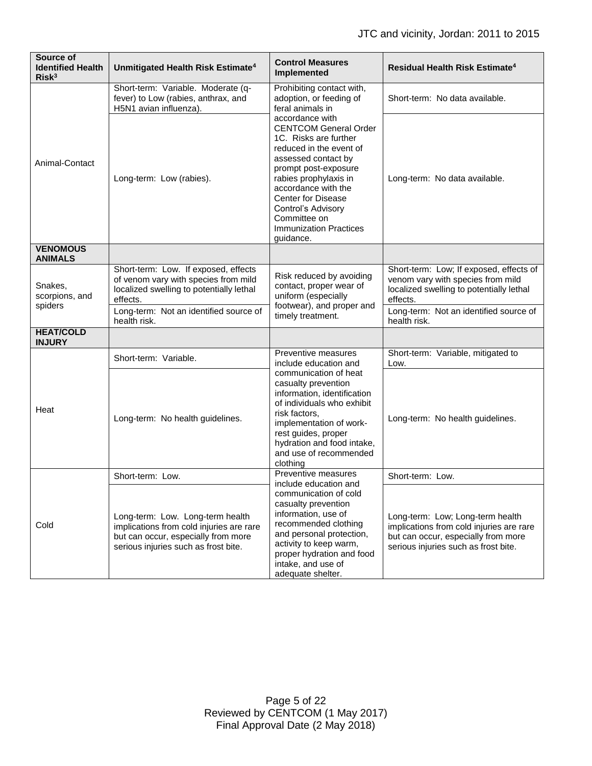| Source of<br><b>Identified Health</b><br>Risk <sup>3</sup> | Unmitigated Health Risk Estimate <sup>4</sup>                                                                                                               | <b>Control Measures</b><br>Implemented                                                                                                                                                                                                                                                                                                                                                          | Residual Health Risk Estimate <sup>4</sup>                                                                                                                  |
|------------------------------------------------------------|-------------------------------------------------------------------------------------------------------------------------------------------------------------|-------------------------------------------------------------------------------------------------------------------------------------------------------------------------------------------------------------------------------------------------------------------------------------------------------------------------------------------------------------------------------------------------|-------------------------------------------------------------------------------------------------------------------------------------------------------------|
| Animal-Contact                                             | Short-term: Variable. Moderate (q-<br>fever) to Low (rabies, anthrax, and<br>H5N1 avian influenza).                                                         | Prohibiting contact with,<br>adoption, or feeding of<br>feral animals in<br>accordance with<br><b>CENTCOM General Order</b><br>1C. Risks are further<br>reduced in the event of<br>assessed contact by<br>prompt post-exposure<br>rabies prophylaxis in<br>accordance with the<br><b>Center for Disease</b><br>Control's Advisory<br>Committee on<br><b>Immunization Practices</b><br>guidance. | Short-term: No data available.                                                                                                                              |
|                                                            | Long-term: Low (rabies).                                                                                                                                    |                                                                                                                                                                                                                                                                                                                                                                                                 | Long-term: No data available.                                                                                                                               |
| <b>VENOMOUS</b><br><b>ANIMALS</b>                          |                                                                                                                                                             |                                                                                                                                                                                                                                                                                                                                                                                                 |                                                                                                                                                             |
| Snakes,<br>scorpions, and<br>spiders                       | Short-term: Low. If exposed, effects<br>of venom vary with species from mild<br>localized swelling to potentially lethal<br>effects.                        | Risk reduced by avoiding<br>contact, proper wear of<br>uniform (especially<br>footwear), and proper and<br>timely treatment.                                                                                                                                                                                                                                                                    | Short-term: Low; If exposed, effects of<br>venom vary with species from mild<br>localized swelling to potentially lethal<br>effects.                        |
|                                                            | Long-term: Not an identified source of<br>health risk.                                                                                                      |                                                                                                                                                                                                                                                                                                                                                                                                 | Long-term: Not an identified source of<br>health risk.                                                                                                      |
| <b>HEAT/COLD</b><br><b>INJURY</b>                          |                                                                                                                                                             |                                                                                                                                                                                                                                                                                                                                                                                                 |                                                                                                                                                             |
| Heat                                                       | Short-term: Variable.                                                                                                                                       | Preventive measures<br>include education and<br>communication of heat<br>casualty prevention<br>information, identification<br>of individuals who exhibit<br>risk factors,<br>implementation of work-<br>rest guides, proper<br>hydration and food intake,<br>and use of recommended<br>clothing                                                                                                | Short-term: Variable, mitigated to<br>Low.                                                                                                                  |
|                                                            | Long-term: No health guidelines.                                                                                                                            |                                                                                                                                                                                                                                                                                                                                                                                                 | Long-term: No health guidelines.                                                                                                                            |
| Cold                                                       | Short-term: Low.                                                                                                                                            | Preventive measures<br>include education and<br>communication of cold<br>casualty prevention<br>information, use of<br>recommended clothing<br>and personal protection,<br>activity to keep warm,<br>proper hydration and food<br>intake, and use of<br>adequate shelter.                                                                                                                       | Short-term: Low.                                                                                                                                            |
|                                                            | Long-term: Low. Long-term health<br>implications from cold injuries are rare<br>but can occur, especially from more<br>serious injuries such as frost bite. |                                                                                                                                                                                                                                                                                                                                                                                                 | Long-term: Low; Long-term health<br>implications from cold injuries are rare<br>but can occur, especially from more<br>serious injuries such as frost bite. |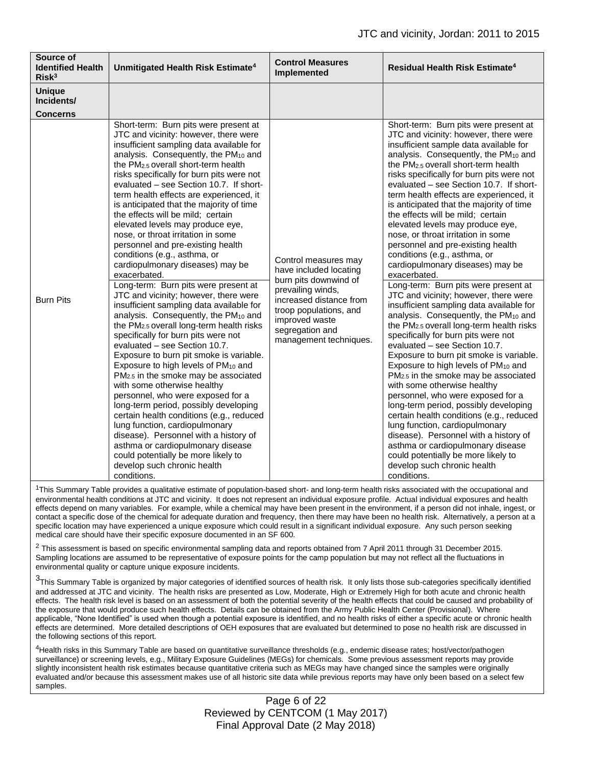| Source of<br><b>Identified Health</b><br>Risk <sup>3</sup> | Unmitigated Health Risk Estimate <sup>4</sup>                                                                                                                                                                                                                                                                                                                                                                                                                                                                                                                                                                                                                                                                                                                                                                                                                                                                                                                                                                                                                                                                                                                                                                                                                                                                                                                                                                                                                                   | <b>Control Measures</b><br>Implemented                                                                                                                                                                           | <b>Residual Health Risk Estimate<sup>4</sup></b>                                                                                                                                                                                                                                                                                                                                                                                                                                                                                                                                                                                                                                                                                                                                                                                                                                                                                                                                                                                                                                                                                                                                                                                                                                                                                                                                                                                                                              |
|------------------------------------------------------------|---------------------------------------------------------------------------------------------------------------------------------------------------------------------------------------------------------------------------------------------------------------------------------------------------------------------------------------------------------------------------------------------------------------------------------------------------------------------------------------------------------------------------------------------------------------------------------------------------------------------------------------------------------------------------------------------------------------------------------------------------------------------------------------------------------------------------------------------------------------------------------------------------------------------------------------------------------------------------------------------------------------------------------------------------------------------------------------------------------------------------------------------------------------------------------------------------------------------------------------------------------------------------------------------------------------------------------------------------------------------------------------------------------------------------------------------------------------------------------|------------------------------------------------------------------------------------------------------------------------------------------------------------------------------------------------------------------|-------------------------------------------------------------------------------------------------------------------------------------------------------------------------------------------------------------------------------------------------------------------------------------------------------------------------------------------------------------------------------------------------------------------------------------------------------------------------------------------------------------------------------------------------------------------------------------------------------------------------------------------------------------------------------------------------------------------------------------------------------------------------------------------------------------------------------------------------------------------------------------------------------------------------------------------------------------------------------------------------------------------------------------------------------------------------------------------------------------------------------------------------------------------------------------------------------------------------------------------------------------------------------------------------------------------------------------------------------------------------------------------------------------------------------------------------------------------------------|
| <b>Unique</b><br>Incidents/<br><b>Concerns</b>             |                                                                                                                                                                                                                                                                                                                                                                                                                                                                                                                                                                                                                                                                                                                                                                                                                                                                                                                                                                                                                                                                                                                                                                                                                                                                                                                                                                                                                                                                                 |                                                                                                                                                                                                                  |                                                                                                                                                                                                                                                                                                                                                                                                                                                                                                                                                                                                                                                                                                                                                                                                                                                                                                                                                                                                                                                                                                                                                                                                                                                                                                                                                                                                                                                                               |
| <b>Burn Pits</b>                                           | Short-term: Burn pits were present at<br>JTC and vicinity: however, there were<br>insufficient sampling data available for<br>analysis. Consequently, the PM <sub>10</sub> and<br>the PM <sub>2.5</sub> overall short-term health<br>risks specifically for burn pits were not<br>evaluated - see Section 10.7. If short-<br>term health effects are experienced, it<br>is anticipated that the majority of time<br>the effects will be mild; certain<br>elevated levels may produce eye,<br>nose, or throat irritation in some<br>personnel and pre-existing health<br>conditions (e.g., asthma, or<br>cardiopulmonary diseases) may be<br>exacerbated.<br>Long-term: Burn pits were present at<br>JTC and vicinity; however, there were<br>insufficient sampling data available for<br>analysis. Consequently, the PM <sub>10</sub> and<br>the $PM2.5$ overall long-term health risks<br>specifically for burn pits were not<br>evaluated - see Section 10.7.<br>Exposure to burn pit smoke is variable.<br>Exposure to high levels of PM <sub>10</sub> and<br>PM <sub>2.5</sub> in the smoke may be associated<br>with some otherwise healthy<br>personnel, who were exposed for a<br>long-term period, possibly developing<br>certain health conditions (e.g., reduced<br>lung function, cardiopulmonary<br>disease). Personnel with a history of<br>asthma or cardiopulmonary disease<br>could potentially be more likely to<br>develop such chronic health<br>conditions. | Control measures may<br>have included locating<br>burn pits downwind of<br>prevailing winds,<br>increased distance from<br>troop populations, and<br>improved waste<br>segregation and<br>management techniques. | Short-term: Burn pits were present at<br>JTC and vicinity: however, there were<br>insufficient sample data available for<br>analysis. Consequently, the PM <sub>10</sub> and<br>the PM <sub>2.5</sub> overall short-term health<br>risks specifically for burn pits were not<br>evaluated - see Section 10.7. If short-<br>term health effects are experienced, it<br>is anticipated that the majority of time<br>the effects will be mild; certain<br>elevated levels may produce eye,<br>nose, or throat irritation in some<br>personnel and pre-existing health<br>conditions (e.g., asthma, or<br>cardiopulmonary diseases) may be<br>exacerbated.<br>Long-term: Burn pits were present at<br>JTC and vicinity; however, there were<br>insufficient sampling data available for<br>analysis. Consequently, the PM <sub>10</sub> and<br>the $PM2.5$ overall long-term health risks<br>specifically for burn pits were not<br>evaluated - see Section 10.7.<br>Exposure to burn pit smoke is variable.<br>Exposure to high levels of PM <sub>10</sub> and<br>PM <sub>2.5</sub> in the smoke may be associated<br>with some otherwise healthy<br>personnel, who were exposed for a<br>long-term period, possibly developing<br>certain health conditions (e.g., reduced<br>lung function, cardiopulmonary<br>disease). Personnel with a history of<br>asthma or cardiopulmonary disease<br>could potentially be more likely to<br>develop such chronic health<br>conditions. |

<sup>1</sup>This Summary Table provides a qualitative estimate of population-based short- and long-term health risks associated with the occupational and environmental health conditions at JTC and vicinity. It does not represent an individual exposure profile. Actual individual exposures and health effects depend on many variables. For example, while a chemical may have been present in the environment, if a person did not inhale, ingest, or contact a specific dose of the chemical for adequate duration and frequency, then there may have been no health risk. Alternatively, a person at a specific location may have experienced a unique exposure which could result in a significant individual exposure. Any such person seeking medical care should have their specific exposure documented in an SF 600.

 $^2$  This assessment is based on specific environmental sampling data and reports obtained from 7 April 2011 through 31 December 2015. Sampling locations are assumed to be representative of exposure points for the camp population but may not reflect all the fluctuations in environmental quality or capture unique exposure incidents.

<sup>3</sup>This Summary Table is organized by major categories of identified sources of health risk. It only lists those sub-categories specifically identified and addressed at JTC and vicinity. The health risks are presented as Low, Moderate, High or Extremely High for both acute and chronic health effects. The health risk level is based on an assessment of both the potential severity of the health effects that could be caused and probability of the exposure that would produce such health effects. Details can be obtained from the Army Public Health Center (Provisional). Where applicable, "None Identified" is used when though a potential exposure is identified, and no health risks of either a specific acute or chronic health effects are determined. More detailed descriptions of OEH exposures that are evaluated but determined to pose no health risk are discussed in the following sections of this report.

<sup>4</sup>Health risks in this Summary Table are based on quantitative surveillance thresholds (e.g., endemic disease rates; host/vector/pathogen surveillance) or screening levels, e.g., Military Exposure Guidelines (MEGs) for chemicals. Some previous assessment reports may provide slightly inconsistent health risk estimates because quantitative criteria such as MEGs may have changed since the samples were originally evaluated and/or because this assessment makes use of all historic site data while previous reports may have only been based on a select few samples.

> Page 6 of 22 Reviewed by CENTCOM (1 May 2017) Final Approval Date (2 May 2018)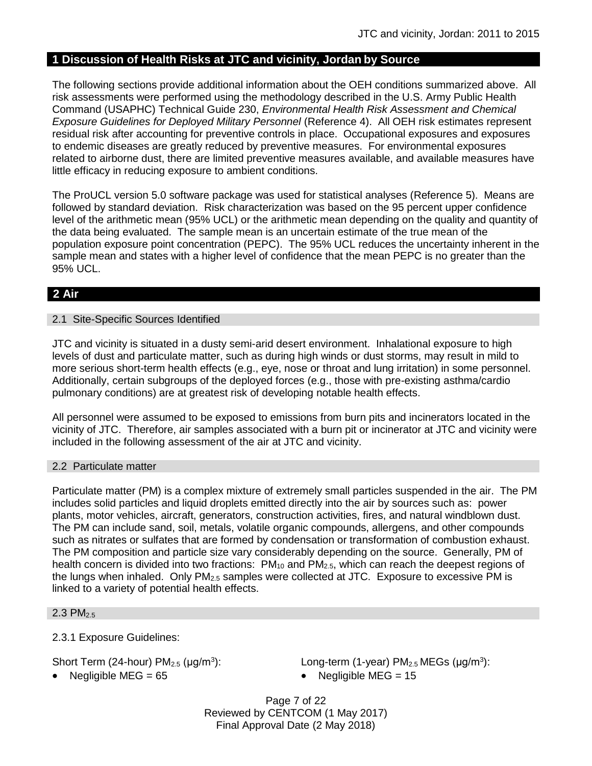# **1 Discussion of Health Risks at JTC and vicinity, Jordan by Source**

The following sections provide additional information about the OEH conditions summarized above. All risk assessments were performed using the methodology described in the U.S. Army Public Health Command (USAPHC) Technical Guide 230, *Environmental Health Risk Assessment and Chemical Exposure Guidelines for Deployed Military Personnel* (Reference 4). All OEH risk estimates represent residual risk after accounting for preventive controls in place. Occupational exposures and exposures to endemic diseases are greatly reduced by preventive measures. For environmental exposures related to airborne dust, there are limited preventive measures available, and available measures have little efficacy in reducing exposure to ambient conditions.

The ProUCL version 5.0 software package was used for statistical analyses (Reference 5). Means are followed by standard deviation. Risk characterization was based on the 95 percent upper confidence level of the arithmetic mean (95% UCL) or the arithmetic mean depending on the quality and quantity of the data being evaluated. The sample mean is an uncertain estimate of the true mean of the population exposure point concentration (PEPC). The 95% UCL reduces the uncertainty inherent in the sample mean and states with a higher level of confidence that the mean PEPC is no greater than the 95% UCL.

# **2 Air**

#### 2.1 Site-Specific Sources Identified

JTC and vicinity is situated in a dusty semi-arid desert environment. Inhalational exposure to high levels of dust and particulate matter, such as during high winds or dust storms, may result in mild to more serious short-term health effects (e.g., eye, nose or throat and lung irritation) in some personnel. Additionally, certain subgroups of the deployed forces (e.g., those with pre-existing asthma/cardio pulmonary conditions) are at greatest risk of developing notable health effects.

All personnel were assumed to be exposed to emissions from burn pits and incinerators located in the vicinity of JTC. Therefore, air samples associated with a burn pit or incinerator at JTC and vicinity were included in the following assessment of the air at JTC and vicinity.

#### 2.2 Particulate matter

Particulate matter (PM) is a complex mixture of extremely small particles suspended in the air. The PM includes solid particles and liquid droplets emitted directly into the air by sources such as: power plants, motor vehicles, aircraft, generators, construction activities, fires, and natural windblown dust. The PM can include sand, soil, metals, volatile organic compounds, allergens, and other compounds such as nitrates or sulfates that are formed by condensation or transformation of combustion exhaust. The PM composition and particle size vary considerably depending on the source. Generally, PM of health concern is divided into two fractions:  $PM_{10}$  and  $PM_{2.5}$ , which can reach the deepest regions of the lungs when inhaled. Only  $PM<sub>2.5</sub>$  samples were collected at JTC. Exposure to excessive PM is linked to a variety of potential health effects.

#### 2.3 PM2.5

2.3.1 Exposure Guidelines:

Short Term (24-hour)  $PM<sub>2.5</sub>$  ( $\mu$ g/m<sup>3</sup>):

• Negligible MEG =  $65$  example  $\blacksquare$  Negligible MEG =  $15$ 

): Long-term (1-year)  $PM<sub>2.5</sub> MEGs (µg/m<sup>3</sup>)$ :

Page 7 of 22 Reviewed by CENTCOM (1 May 2017) Final Approval Date (2 May 2018)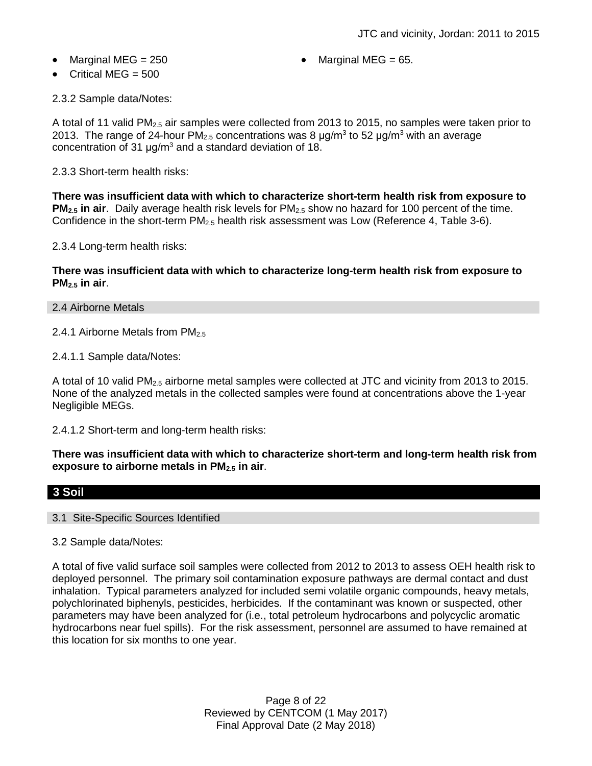- 
- Marginal MEG =  $250$   $\bullet$  Marginal MEG =  $65$ .
- Critical MEG = 500

2.3.2 Sample data/Notes:

A total of 11 valid PM<sub>2.5</sub> air samples were collected from 2013 to 2015, no samples were taken prior to 2013. The range of 24-hour PM<sub>2.5</sub> concentrations was 8  $\mu$ g/m<sup>3</sup> to 52  $\mu$ g/m<sup>3</sup> with an average concentration of 31  $\mu q/m^3$  and a standard deviation of 18.

2.3.3 Short-term health risks:

**There was insufficient data with which to characterize short-term health risk from exposure to PM2.5 in air**. Daily average health risk levels for PM2.5 show no hazard for 100 percent of the time. Confidence in the short-term PM<sub>2.5</sub> health risk assessment was Low (Reference 4, Table 3-6).

2.3.4 Long-term health risks:

**There was insufficient data with which to characterize long-term health risk from exposure to PM2.5 in air**.

#### 2.4 Airborne Metals

2.4.1 Airborne Metals from PM<sub>2.5</sub>

2.4.1.1 Sample data/Notes:

A total of 10 valid PM2.5 airborne metal samples were collected at JTC and vicinity from 2013 to 2015. None of the analyzed metals in the collected samples were found at concentrations above the 1-year Negligible MEGs.

2.4.1.2 Short-term and long-term health risks:

**There was insufficient data with which to characterize short-term and long-term health risk from exposure to airborne metals in PM2.5 in air**.

## **3 Soil**

#### 3.1 Site-Specific Sources Identified

#### 3.2 Sample data/Notes:

A total of five valid surface soil samples were collected from 2012 to 2013 to assess OEH health risk to deployed personnel. The primary soil contamination exposure pathways are dermal contact and dust inhalation. Typical parameters analyzed for included semi volatile organic compounds, heavy metals, polychlorinated biphenyls, pesticides, herbicides. If the contaminant was known or suspected, other parameters may have been analyzed for (i.e., total petroleum hydrocarbons and polycyclic aromatic hydrocarbons near fuel spills). For the risk assessment, personnel are assumed to have remained at this location for six months to one year.

> Page 8 of 22 Reviewed by CENTCOM (1 May 2017) Final Approval Date (2 May 2018)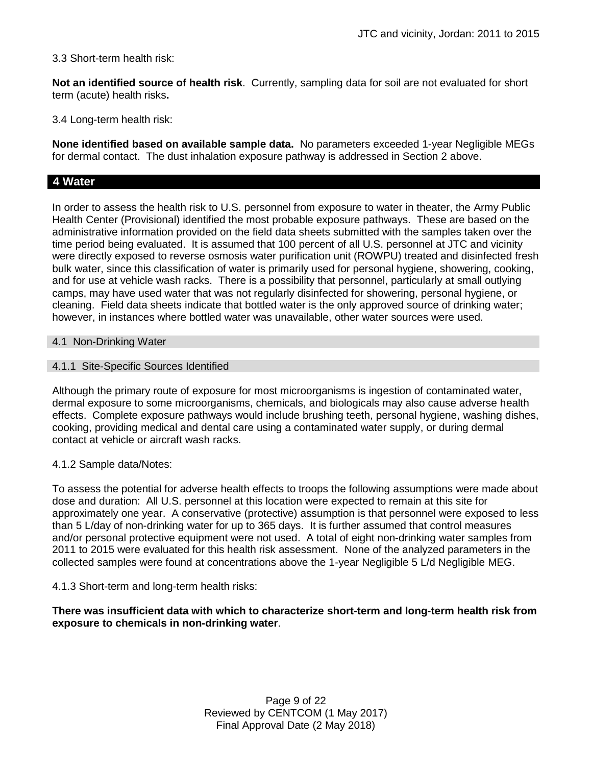3.3 Short-term health risk:

**Not an identified source of health risk**. Currently, sampling data for soil are not evaluated for short term (acute) health risks**.**

3.4 Long-term health risk:

**None identified based on available sample data.** No parameters exceeded 1-year Negligible MEGs for dermal contact. The dust inhalation exposure pathway is addressed in Section 2 above.

# **4 Water**

In order to assess the health risk to U.S. personnel from exposure to water in theater, the Army Public Health Center (Provisional) identified the most probable exposure pathways. These are based on the administrative information provided on the field data sheets submitted with the samples taken over the time period being evaluated. It is assumed that 100 percent of all U.S. personnel at JTC and vicinity were directly exposed to reverse osmosis water purification unit (ROWPU) treated and disinfected fresh bulk water, since this classification of water is primarily used for personal hygiene, showering, cooking, and for use at vehicle wash racks. There is a possibility that personnel, particularly at small outlying camps, may have used water that was not regularly disinfected for showering, personal hygiene, or cleaning. Field data sheets indicate that bottled water is the only approved source of drinking water; however, in instances where bottled water was unavailable, other water sources were used.

#### 4.1 Non-Drinking Water

## 4.1.1 Site-Specific Sources Identified

Although the primary route of exposure for most microorganisms is ingestion of contaminated water, dermal exposure to some microorganisms, chemicals, and biologicals may also cause adverse health effects. Complete exposure pathways would include brushing teeth, personal hygiene, washing dishes, cooking, providing medical and dental care using a contaminated water supply, or during dermal contact at vehicle or aircraft wash racks.

#### 4.1.2 Sample data/Notes:

To assess the potential for adverse health effects to troops the following assumptions were made about dose and duration: All U.S. personnel at this location were expected to remain at this site for approximately one year. A conservative (protective) assumption is that personnel were exposed to less than 5 L/day of non-drinking water for up to 365 days. It is further assumed that control measures and/or personal protective equipment were not used. A total of eight non-drinking water samples from 2011 to 2015 were evaluated for this health risk assessment. None of the analyzed parameters in the collected samples were found at concentrations above the 1-year Negligible 5 L/d Negligible MEG.

## 4.1.3 Short-term and long-term health risks:

**There was insufficient data with which to characterize short-term and long-term health risk from exposure to chemicals in non-drinking water**.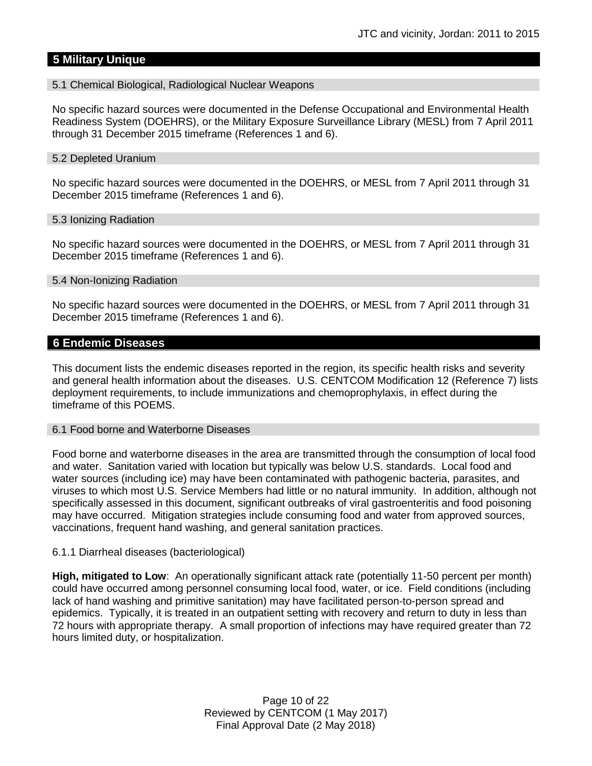# **5 Military Unique**

#### 5.1 Chemical Biological, Radiological Nuclear Weapons

No specific hazard sources were documented in the Defense Occupational and Environmental Health Readiness System (DOEHRS), or the Military Exposure Surveillance Library (MESL) from 7 April 2011 through 31 December 2015 timeframe (References 1 and 6).

#### 5.2 Depleted Uranium

No specific hazard sources were documented in the DOEHRS, or MESL from 7 April 2011 through 31 December 2015 timeframe (References 1 and 6).

#### 5.3 Ionizing Radiation

No specific hazard sources were documented in the DOEHRS, or MESL from 7 April 2011 through 31 December 2015 timeframe (References 1 and 6).

#### 5.4 Non-Ionizing Radiation

No specific hazard sources were documented in the DOEHRS, or MESL from 7 April 2011 through 31 December 2015 timeframe (References 1 and 6).

#### **6 Endemic Diseases**

This document lists the endemic diseases reported in the region, its specific health risks and severity and general health information about the diseases. U.S. CENTCOM Modification 12 (Reference 7) lists deployment requirements, to include immunizations and chemoprophylaxis, in effect during the timeframe of this POEMS.

#### 6.1 Food borne and Waterborne Diseases

Food borne and waterborne diseases in the area are transmitted through the consumption of local food and water. Sanitation varied with location but typically was below U.S. standards. Local food and water sources (including ice) may have been contaminated with pathogenic bacteria, parasites, and viruses to which most U.S. Service Members had little or no natural immunity. In addition, although not specifically assessed in this document, significant outbreaks of viral gastroenteritis and food poisoning may have occurred. Mitigation strategies include consuming food and water from approved sources, vaccinations, frequent hand washing, and general sanitation practices.

#### 6.1.1 Diarrheal diseases (bacteriological)

**High, mitigated to Low**: An operationally significant attack rate (potentially 11-50 percent per month) could have occurred among personnel consuming local food, water, or ice. Field conditions (including lack of hand washing and primitive sanitation) may have facilitated person-to-person spread and epidemics. Typically, it is treated in an outpatient setting with recovery and return to duty in less than 72 hours with appropriate therapy. A small proportion of infections may have required greater than 72 hours limited duty, or hospitalization.

> Page 10 of 22 Reviewed by CENTCOM (1 May 2017) Final Approval Date (2 May 2018)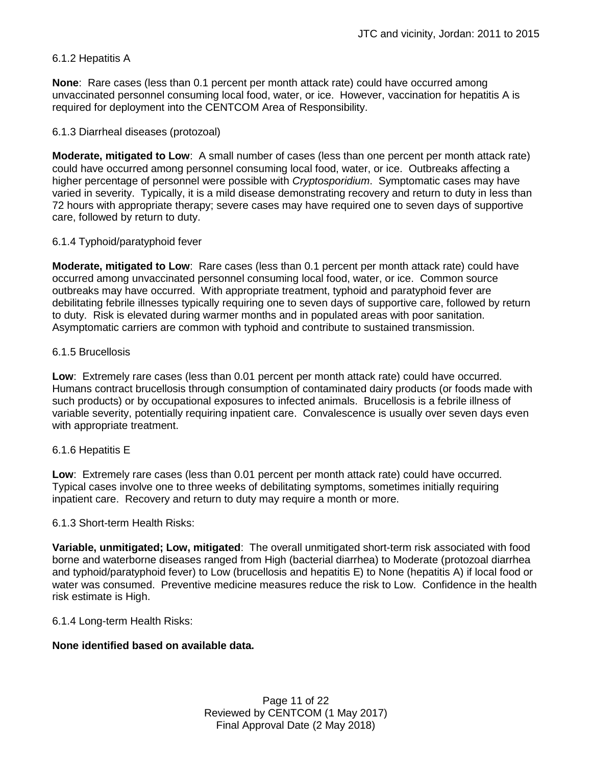# 6.1.2 Hepatitis A

**None**: Rare cases (less than 0.1 percent per month attack rate) could have occurred among unvaccinated personnel consuming local food, water, or ice. However, vaccination for hepatitis A is required for deployment into the CENTCOM Area of Responsibility.

## 6.1.3 Diarrheal diseases (protozoal)

**Moderate, mitigated to Low**: A small number of cases (less than one percent per month attack rate) could have occurred among personnel consuming local food, water, or ice. Outbreaks affecting a higher percentage of personnel were possible with *Cryptosporidium*. Symptomatic cases may have varied in severity. Typically, it is a mild disease demonstrating recovery and return to duty in less than 72 hours with appropriate therapy; severe cases may have required one to seven days of supportive care, followed by return to duty.

## 6.1.4 Typhoid/paratyphoid fever

**Moderate, mitigated to Low**: Rare cases (less than 0.1 percent per month attack rate) could have occurred among unvaccinated personnel consuming local food, water, or ice. Common source outbreaks may have occurred. With appropriate treatment, typhoid and paratyphoid fever are debilitating febrile illnesses typically requiring one to seven days of supportive care, followed by return to duty. Risk is elevated during warmer months and in populated areas with poor sanitation. Asymptomatic carriers are common with typhoid and contribute to sustained transmission.

## 6.1.5 Brucellosis

**Low**: Extremely rare cases (less than 0.01 percent per month attack rate) could have occurred. Humans contract brucellosis through consumption of contaminated dairy products (or foods made with such products) or by occupational exposures to infected animals. Brucellosis is a febrile illness of variable severity, potentially requiring inpatient care. Convalescence is usually over seven days even with appropriate treatment.

## 6.1.6 Hepatitis E

**Low**: Extremely rare cases (less than 0.01 percent per month attack rate) could have occurred. Typical cases involve one to three weeks of debilitating symptoms, sometimes initially requiring inpatient care. Recovery and return to duty may require a month or more.

## 6.1.3 Short-term Health Risks:

**Variable, unmitigated; Low, mitigated**: The overall unmitigated short-term risk associated with food borne and waterborne diseases ranged from High (bacterial diarrhea) to Moderate (protozoal diarrhea and typhoid/paratyphoid fever) to Low (brucellosis and hepatitis E) to None (hepatitis A) if local food or water was consumed. Preventive medicine measures reduce the risk to Low. Confidence in the health risk estimate is High.

#### 6.1.4 Long-term Health Risks:

## **None identified based on available data.**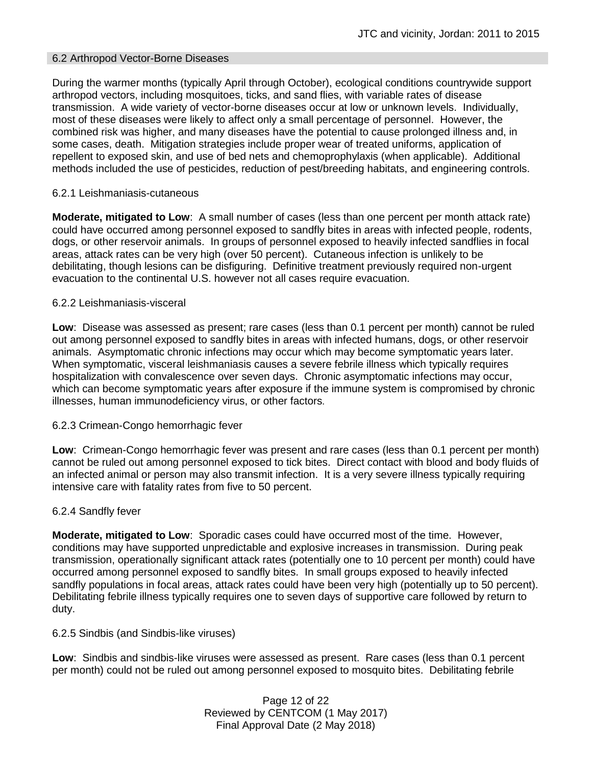### 6.2 Arthropod Vector-Borne Diseases

During the warmer months (typically April through October), ecological conditions countrywide support arthropod vectors, including mosquitoes, ticks, and sand flies, with variable rates of disease transmission. A wide variety of vector-borne diseases occur at low or unknown levels. Individually, most of these diseases were likely to affect only a small percentage of personnel. However, the combined risk was higher, and many diseases have the potential to cause prolonged illness and, in some cases, death. Mitigation strategies include proper wear of treated uniforms, application of repellent to exposed skin, and use of bed nets and chemoprophylaxis (when applicable). Additional methods included the use of pesticides, reduction of pest/breeding habitats, and engineering controls.

## 6.2.1 Leishmaniasis-cutaneous

**Moderate, mitigated to Low**: A small number of cases (less than one percent per month attack rate) could have occurred among personnel exposed to sandfly bites in areas with infected people, rodents, dogs, or other reservoir animals. In groups of personnel exposed to heavily infected sandflies in focal areas, attack rates can be very high (over 50 percent). Cutaneous infection is unlikely to be debilitating, though lesions can be disfiguring. Definitive treatment previously required non-urgent evacuation to the continental U.S. however not all cases require evacuation.

## 6.2.2 Leishmaniasis-visceral

**Low**: Disease was assessed as present; rare cases (less than 0.1 percent per month) cannot be ruled out among personnel exposed to sandfly bites in areas with infected humans, dogs, or other reservoir animals. Asymptomatic chronic infections may occur which may become symptomatic years later. When symptomatic, visceral leishmaniasis causes a severe febrile illness which typically requires hospitalization with convalescence over seven days. Chronic asymptomatic infections may occur, which can become symptomatic years after exposure if the immune system is compromised by chronic illnesses, human immunodeficiency virus, or other factors.

#### 6.2.3 Crimean-Congo hemorrhagic fever

**Low**: Crimean-Congo hemorrhagic fever was present and rare cases (less than 0.1 percent per month) cannot be ruled out among personnel exposed to tick bites. Direct contact with blood and body fluids of an infected animal or person may also transmit infection. It is a very severe illness typically requiring intensive care with fatality rates from five to 50 percent.

#### 6.2.4 Sandfly fever

**Moderate, mitigated to Low**: Sporadic cases could have occurred most of the time. However, conditions may have supported unpredictable and explosive increases in transmission. During peak transmission, operationally significant attack rates (potentially one to 10 percent per month) could have occurred among personnel exposed to sandfly bites. In small groups exposed to heavily infected sandfly populations in focal areas, attack rates could have been very high (potentially up to 50 percent). Debilitating febrile illness typically requires one to seven days of supportive care followed by return to duty.

#### 6.2.5 Sindbis (and Sindbis-like viruses)

**Low**: Sindbis and sindbis-like viruses were assessed as present. Rare cases (less than 0.1 percent per month) could not be ruled out among personnel exposed to mosquito bites. Debilitating febrile

> Page 12 of 22 Reviewed by CENTCOM (1 May 2017) Final Approval Date (2 May 2018)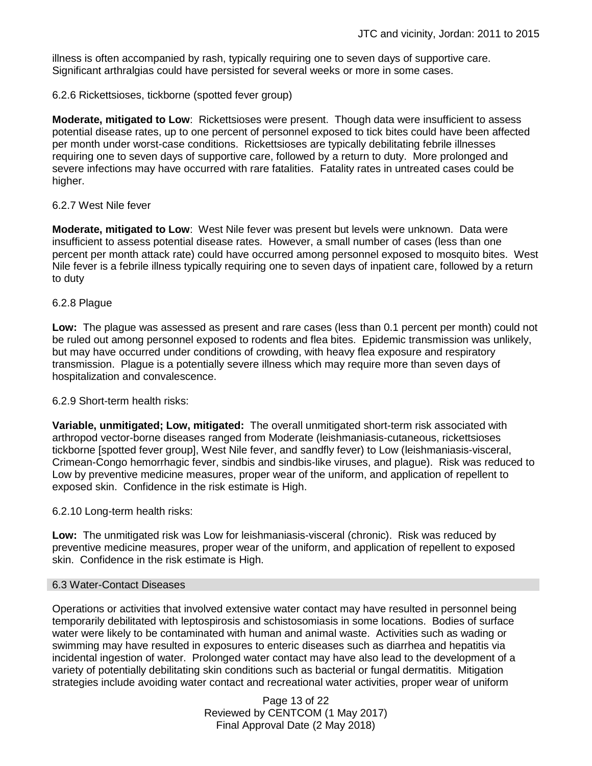illness is often accompanied by rash, typically requiring one to seven days of supportive care. Significant arthralgias could have persisted for several weeks or more in some cases.

6.2.6 Rickettsioses, tickborne (spotted fever group)

**Moderate, mitigated to Low**: Rickettsioses were present. Though data were insufficient to assess potential disease rates, up to one percent of personnel exposed to tick bites could have been affected per month under worst-case conditions. Rickettsioses are typically debilitating febrile illnesses requiring one to seven days of supportive care, followed by a return to duty. More prolonged and severe infections may have occurred with rare fatalities. Fatality rates in untreated cases could be higher.

### 6.2.7 West Nile fever

**Moderate, mitigated to Low**: West Nile fever was present but levels were unknown. Data were insufficient to assess potential disease rates. However, a small number of cases (less than one percent per month attack rate) could have occurred among personnel exposed to mosquito bites. West Nile fever is a febrile illness typically requiring one to seven days of inpatient care, followed by a return to duty

#### 6.2.8 Plague

**Low:** The plague was assessed as present and rare cases (less than 0.1 percent per month) could not be ruled out among personnel exposed to rodents and flea bites. Epidemic transmission was unlikely, but may have occurred under conditions of crowding, with heavy flea exposure and respiratory transmission. Plague is a potentially severe illness which may require more than seven days of hospitalization and convalescence.

#### 6.2.9 Short-term health risks:

**Variable, unmitigated; Low, mitigated:** The overall unmitigated short-term risk associated with arthropod vector-borne diseases ranged from Moderate (leishmaniasis-cutaneous, rickettsioses tickborne [spotted fever group], West Nile fever, and sandfly fever) to Low (leishmaniasis-visceral, Crimean-Congo hemorrhagic fever, sindbis and sindbis-like viruses, and plague). Risk was reduced to Low by preventive medicine measures, proper wear of the uniform, and application of repellent to exposed skin. Confidence in the risk estimate is High.

#### 6.2.10 Long-term health risks:

**Low:** The unmitigated risk was Low for leishmaniasis-visceral (chronic). Risk was reduced by preventive medicine measures, proper wear of the uniform, and application of repellent to exposed skin. Confidence in the risk estimate is High.

#### 6.3 Water-Contact Diseases

Operations or activities that involved extensive water contact may have resulted in personnel being temporarily debilitated with leptospirosis and schistosomiasis in some locations. Bodies of surface water were likely to be contaminated with human and animal waste. Activities such as wading or swimming may have resulted in exposures to enteric diseases such as diarrhea and hepatitis via incidental ingestion of water. Prolonged water contact may have also lead to the development of a variety of potentially debilitating skin conditions such as bacterial or fungal dermatitis. Mitigation strategies include avoiding water contact and recreational water activities, proper wear of uniform

> Page 13 of 22 Reviewed by CENTCOM (1 May 2017) Final Approval Date (2 May 2018)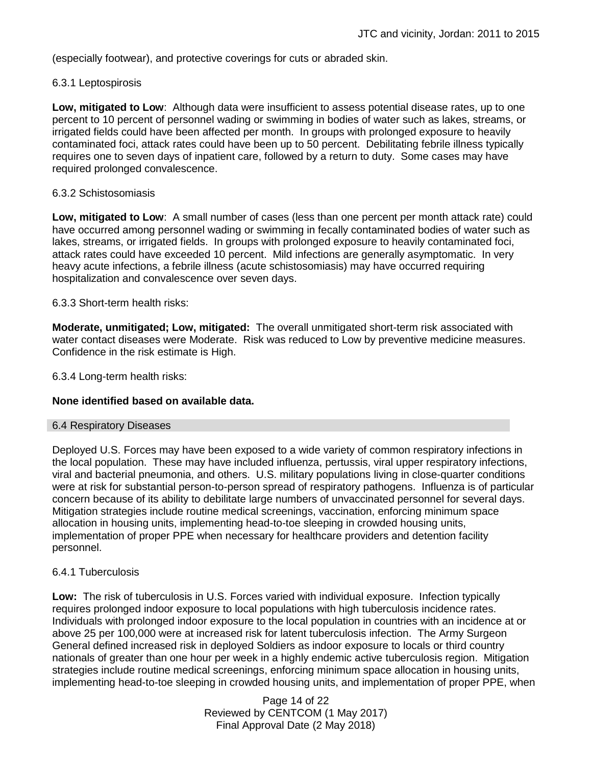(especially footwear), and protective coverings for cuts or abraded skin.

#### 6.3.1 Leptospirosis

**Low, mitigated to Low**: Although data were insufficient to assess potential disease rates, up to one percent to 10 percent of personnel wading or swimming in bodies of water such as lakes, streams, or irrigated fields could have been affected per month. In groups with prolonged exposure to heavily contaminated foci, attack rates could have been up to 50 percent. Debilitating febrile illness typically requires one to seven days of inpatient care, followed by a return to duty. Some cases may have required prolonged convalescence.

#### 6.3.2 Schistosomiasis

**Low, mitigated to Low**: A small number of cases (less than one percent per month attack rate) could have occurred among personnel wading or swimming in fecally contaminated bodies of water such as lakes, streams, or irrigated fields. In groups with prolonged exposure to heavily contaminated foci, attack rates could have exceeded 10 percent. Mild infections are generally asymptomatic. In very heavy acute infections, a febrile illness (acute schistosomiasis) may have occurred requiring hospitalization and convalescence over seven days.

## 6.3.3 Short-term health risks:

**Moderate, unmitigated; Low, mitigated:** The overall unmitigated short-term risk associated with water contact diseases were Moderate. Risk was reduced to Low by preventive medicine measures. Confidence in the risk estimate is High.

6.3.4 Long-term health risks:

#### **None identified based on available data.**

#### 6.4 Respiratory Diseases

Deployed U.S. Forces may have been exposed to a wide variety of common respiratory infections in the local population. These may have included influenza, pertussis, viral upper respiratory infections, viral and bacterial pneumonia, and others. U.S. military populations living in close-quarter conditions were at risk for substantial person-to-person spread of respiratory pathogens. Influenza is of particular concern because of its ability to debilitate large numbers of unvaccinated personnel for several days. Mitigation strategies include routine medical screenings, vaccination, enforcing minimum space allocation in housing units, implementing head-to-toe sleeping in crowded housing units, implementation of proper PPE when necessary for healthcare providers and detention facility personnel.

#### 6.4.1 Tuberculosis

**Low:** The risk of tuberculosis in U.S. Forces varied with individual exposure. Infection typically requires prolonged indoor exposure to local populations with high tuberculosis incidence rates. Individuals with prolonged indoor exposure to the local population in countries with an incidence at or above 25 per 100,000 were at increased risk for latent tuberculosis infection. The Army Surgeon General defined increased risk in deployed Soldiers as indoor exposure to locals or third country nationals of greater than one hour per week in a highly endemic active tuberculosis region. Mitigation strategies include routine medical screenings, enforcing minimum space allocation in housing units, implementing head-to-toe sleeping in crowded housing units, and implementation of proper PPE, when

> Page 14 of 22 Reviewed by CENTCOM (1 May 2017) Final Approval Date (2 May 2018)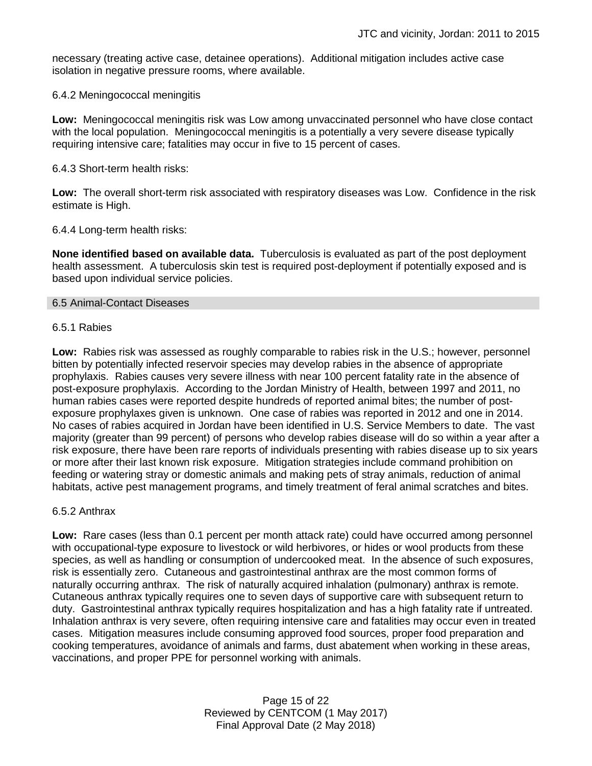necessary (treating active case, detainee operations). Additional mitigation includes active case isolation in negative pressure rooms, where available.

#### 6.4.2 Meningococcal meningitis

**Low:** Meningococcal meningitis risk was Low among unvaccinated personnel who have close contact with the local population. Meningococcal meningitis is a potentially a very severe disease typically requiring intensive care; fatalities may occur in five to 15 percent of cases.

#### 6.4.3 Short-term health risks:

**Low:** The overall short-term risk associated with respiratory diseases was Low. Confidence in the risk estimate is High.

#### 6.4.4 Long-term health risks:

**None identified based on available data.** Tuberculosis is evaluated as part of the post deployment health assessment. A tuberculosis skin test is required post-deployment if potentially exposed and is based upon individual service policies.

#### 6.5 Animal-Contact Diseases

#### 6.5.1 Rabies

**Low:** Rabies risk was assessed as roughly comparable to rabies risk in the U.S.; however, personnel bitten by potentially infected reservoir species may develop rabies in the absence of appropriate prophylaxis. Rabies causes very severe illness with near 100 percent fatality rate in the absence of post-exposure prophylaxis. According to the Jordan Ministry of Health, between 1997 and 2011, no human rabies cases were reported despite hundreds of reported animal bites; the number of postexposure prophylaxes given is unknown. One case of rabies was reported in 2012 and one in 2014. No cases of rabies acquired in Jordan have been identified in U.S. Service Members to date. The vast majority (greater than 99 percent) of persons who develop rabies disease will do so within a year after a risk exposure, there have been rare reports of individuals presenting with rabies disease up to six years or more after their last known risk exposure. Mitigation strategies include command prohibition on feeding or watering stray or domestic animals and making pets of stray animals, reduction of animal habitats, active pest management programs, and timely treatment of feral animal scratches and bites.

#### 6.5.2 Anthrax

**Low:** Rare cases (less than 0.1 percent per month attack rate) could have occurred among personnel with occupational-type exposure to livestock or wild herbivores, or hides or wool products from these species, as well as handling or consumption of undercooked meat. In the absence of such exposures, risk is essentially zero. Cutaneous and gastrointestinal anthrax are the most common forms of naturally occurring anthrax. The risk of naturally acquired inhalation (pulmonary) anthrax is remote. Cutaneous anthrax typically requires one to seven days of supportive care with subsequent return to duty. Gastrointestinal anthrax typically requires hospitalization and has a high fatality rate if untreated. Inhalation anthrax is very severe, often requiring intensive care and fatalities may occur even in treated cases. Mitigation measures include consuming approved food sources, proper food preparation and cooking temperatures, avoidance of animals and farms, dust abatement when working in these areas, vaccinations, and proper PPE for personnel working with animals.

> Page 15 of 22 Reviewed by CENTCOM (1 May 2017) Final Approval Date (2 May 2018)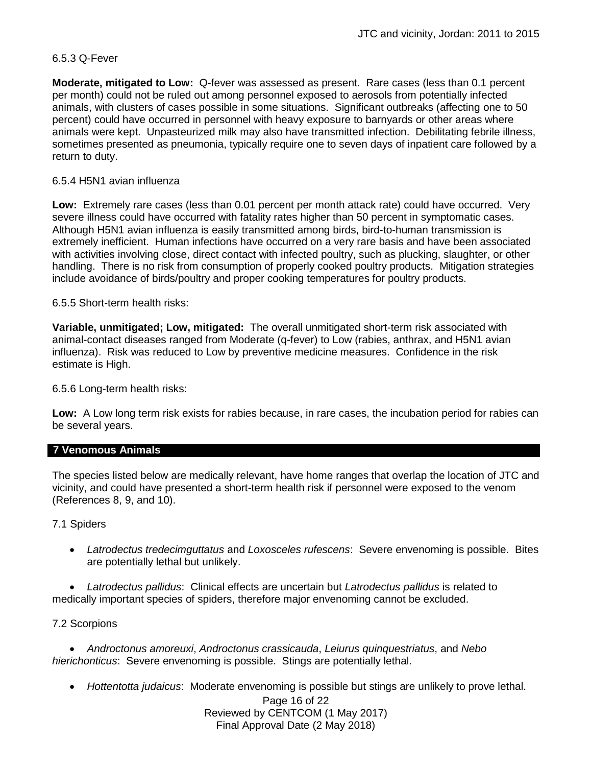## 6.5.3 Q-Fever

**Moderate, mitigated to Low:** Q-fever was assessed as present. Rare cases (less than 0.1 percent per month) could not be ruled out among personnel exposed to aerosols from potentially infected animals, with clusters of cases possible in some situations. Significant outbreaks (affecting one to 50 percent) could have occurred in personnel with heavy exposure to barnyards or other areas where animals were kept. Unpasteurized milk may also have transmitted infection. Debilitating febrile illness, sometimes presented as pneumonia, typically require one to seven days of inpatient care followed by a return to duty.

## 6.5.4 H5N1 avian influenza

**Low:** Extremely rare cases (less than 0.01 percent per month attack rate) could have occurred. Very severe illness could have occurred with fatality rates higher than 50 percent in symptomatic cases. Although H5N1 avian influenza is easily transmitted among birds, bird-to-human transmission is extremely inefficient. Human infections have occurred on a very rare basis and have been associated with activities involving close, direct contact with infected poultry, such as plucking, slaughter, or other handling. There is no risk from consumption of properly cooked poultry products. Mitigation strategies include avoidance of birds/poultry and proper cooking temperatures for poultry products.

## 6.5.5 Short-term health risks:

**Variable, unmitigated; Low, mitigated:** The overall unmitigated short-term risk associated with animal-contact diseases ranged from Moderate (q-fever) to Low (rabies, anthrax, and H5N1 avian influenza). Risk was reduced to Low by preventive medicine measures. Confidence in the risk estimate is High.

6.5.6 Long-term health risks:

**Low:** A Low long term risk exists for rabies because, in rare cases, the incubation period for rabies can be several years.

#### **7 Venomous Animals**

The species listed below are medically relevant, have home ranges that overlap the location of JTC and vicinity, and could have presented a short-term health risk if personnel were exposed to the venom (References 8, 9, and 10).

#### 7.1 Spiders

 *Latrodectus tredecimguttatus* and *Loxosceles rufescens*: Severe envenoming is possible. Bites are potentially lethal but unlikely.

 *Latrodectus pallidus*: Clinical effects are uncertain but *Latrodectus pallidus* is related to medically important species of spiders, therefore major envenoming cannot be excluded.

#### 7.2 Scorpions

 *Androctonus amoreuxi*, *Androctonus crassicauda*, *Leiurus quinquestriatus*, and *Nebo hierichonticus*: Severe envenoming is possible. Stings are potentially lethal.

*Hottentotta judaicus*: Moderate envenoming is possible but stings are unlikely to prove lethal.

Page 16 of 22 Reviewed by CENTCOM (1 May 2017) Final Approval Date (2 May 2018)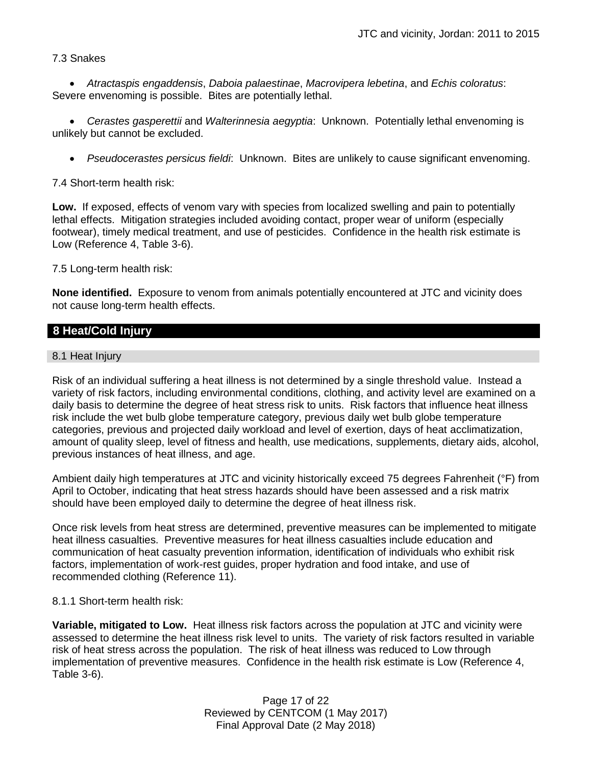## 7.3 Snakes

 *Atractaspis engaddensis*, *Daboia palaestinae*, *Macrovipera lebetina*, and *Echis coloratus*: Severe envenoming is possible. Bites are potentially lethal.

 *Cerastes gasperettii* and *Walterinnesia aegyptia*: Unknown. Potentially lethal envenoming is unlikely but cannot be excluded.

*Pseudocerastes persicus fieldi*: Unknown. Bites are unlikely to cause significant envenoming.

7.4 Short-term health risk:

**Low.** If exposed, effects of venom vary with species from localized swelling and pain to potentially lethal effects. Mitigation strategies included avoiding contact, proper wear of uniform (especially footwear), timely medical treatment, and use of pesticides. Confidence in the health risk estimate is Low (Reference 4, Table 3-6).

7.5 Long-term health risk:

**None identified.** Exposure to venom from animals potentially encountered at JTC and vicinity does not cause long-term health effects.

# **8 Heat/Cold Injury**

#### 8.1 Heat Injury

Risk of an individual suffering a heat illness is not determined by a single threshold value. Instead a variety of risk factors, including environmental conditions, clothing, and activity level are examined on a daily basis to determine the degree of heat stress risk to units. Risk factors that influence heat illness risk include the wet bulb globe temperature category, previous daily wet bulb globe temperature categories, previous and projected daily workload and level of exertion, days of heat acclimatization, amount of quality sleep, level of fitness and health, use medications, supplements, dietary aids, alcohol, previous instances of heat illness, and age.

Ambient daily high temperatures at JTC and vicinity historically exceed 75 degrees Fahrenheit (°F) from April to October, indicating that heat stress hazards should have been assessed and a risk matrix should have been employed daily to determine the degree of heat illness risk.

Once risk levels from heat stress are determined, preventive measures can be implemented to mitigate heat illness casualties. Preventive measures for heat illness casualties include education and communication of heat casualty prevention information, identification of individuals who exhibit risk factors, implementation of work-rest guides, proper hydration and food intake, and use of recommended clothing (Reference 11).

#### 8.1.1 Short-term health risk:

**Variable, mitigated to Low.** Heat illness risk factors across the population at JTC and vicinity were assessed to determine the heat illness risk level to units. The variety of risk factors resulted in variable risk of heat stress across the population. The risk of heat illness was reduced to Low through implementation of preventive measures. Confidence in the health risk estimate is Low (Reference 4, Table 3-6).

> Page 17 of 22 Reviewed by CENTCOM (1 May 2017) Final Approval Date (2 May 2018)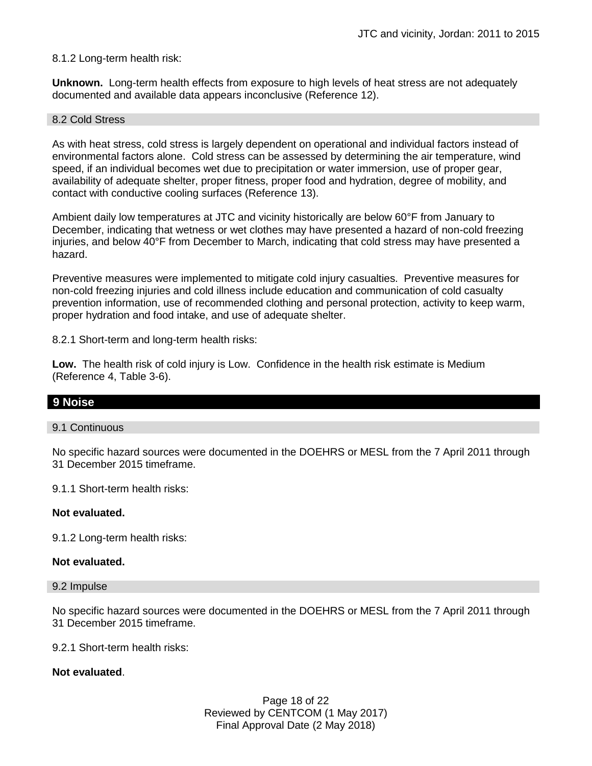## 8.1.2 Long-term health risk:

**Unknown.** Long-term health effects from exposure to high levels of heat stress are not adequately documented and available data appears inconclusive (Reference 12).

#### 8.2 Cold Stress

As with heat stress, cold stress is largely dependent on operational and individual factors instead of environmental factors alone. Cold stress can be assessed by determining the air temperature, wind speed, if an individual becomes wet due to precipitation or water immersion, use of proper gear, availability of adequate shelter, proper fitness, proper food and hydration, degree of mobility, and contact with conductive cooling surfaces (Reference 13).

Ambient daily low temperatures at JTC and vicinity historically are below 60°F from January to December, indicating that wetness or wet clothes may have presented a hazard of non-cold freezing injuries, and below 40°F from December to March, indicating that cold stress may have presented a hazard.

Preventive measures were implemented to mitigate cold injury casualties. Preventive measures for non-cold freezing injuries and cold illness include education and communication of cold casualty prevention information, use of recommended clothing and personal protection, activity to keep warm, proper hydration and food intake, and use of adequate shelter.

8.2.1 Short-term and long-term health risks:

**Low.** The health risk of cold injury is Low. Confidence in the health risk estimate is Medium (Reference 4, Table 3-6).

## **9 Noise**

#### 9.1 Continuous

No specific hazard sources were documented in the DOEHRS or MESL from the 7 April 2011 through 31 December 2015 timeframe.

9.1.1 Short-term health risks:

#### **Not evaluated.**

9.1.2 Long-term health risks:

#### **Not evaluated.**

#### 9.2 Impulse

No specific hazard sources were documented in the DOEHRS or MESL from the 7 April 2011 through 31 December 2015 timeframe.

9.2.1 Short-term health risks:

#### **Not evaluated**.

Page 18 of 22 Reviewed by CENTCOM (1 May 2017) Final Approval Date (2 May 2018)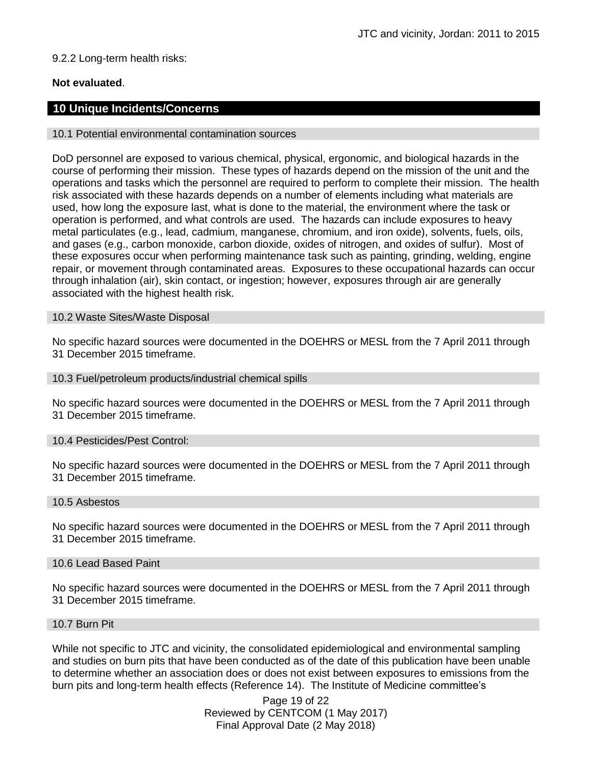# 9.2.2 Long-term health risks:

# **Not evaluated**.

# **10 Unique Incidents/Concerns**

#### 10.1 Potential environmental contamination sources

DoD personnel are exposed to various chemical, physical, ergonomic, and biological hazards in the course of performing their mission. These types of hazards depend on the mission of the unit and the operations and tasks which the personnel are required to perform to complete their mission. The health risk associated with these hazards depends on a number of elements including what materials are used, how long the exposure last, what is done to the material, the environment where the task or operation is performed, and what controls are used. The hazards can include exposures to heavy metal particulates (e.g., lead, cadmium, manganese, chromium, and iron oxide), solvents, fuels, oils, and gases (e.g., carbon monoxide, carbon dioxide, oxides of nitrogen, and oxides of sulfur). Most of these exposures occur when performing maintenance task such as painting, grinding, welding, engine repair, or movement through contaminated areas. Exposures to these occupational hazards can occur through inhalation (air), skin contact, or ingestion; however, exposures through air are generally associated with the highest health risk.

#### 10.2 Waste Sites/Waste Disposal

No specific hazard sources were documented in the DOEHRS or MESL from the 7 April 2011 through 31 December 2015 timeframe.

#### 10.3 Fuel/petroleum products/industrial chemical spills

No specific hazard sources were documented in the DOEHRS or MESL from the 7 April 2011 through 31 December 2015 timeframe.

#### 10.4 Pesticides/Pest Control:

No specific hazard sources were documented in the DOEHRS or MESL from the 7 April 2011 through 31 December 2015 timeframe.

#### 10.5 Asbestos

No specific hazard sources were documented in the DOEHRS or MESL from the 7 April 2011 through 31 December 2015 timeframe.

#### 10.6 Lead Based Paint

No specific hazard sources were documented in the DOEHRS or MESL from the 7 April 2011 through 31 December 2015 timeframe.

## 10.7 Burn Pit

While not specific to JTC and vicinity, the consolidated epidemiological and environmental sampling and studies on burn pits that have been conducted as of the date of this publication have been unable to determine whether an association does or does not exist between exposures to emissions from the burn pits and long-term health effects (Reference 14). The Institute of Medicine committee's

> Page 19 of 22 Reviewed by CENTCOM (1 May 2017) Final Approval Date (2 May 2018)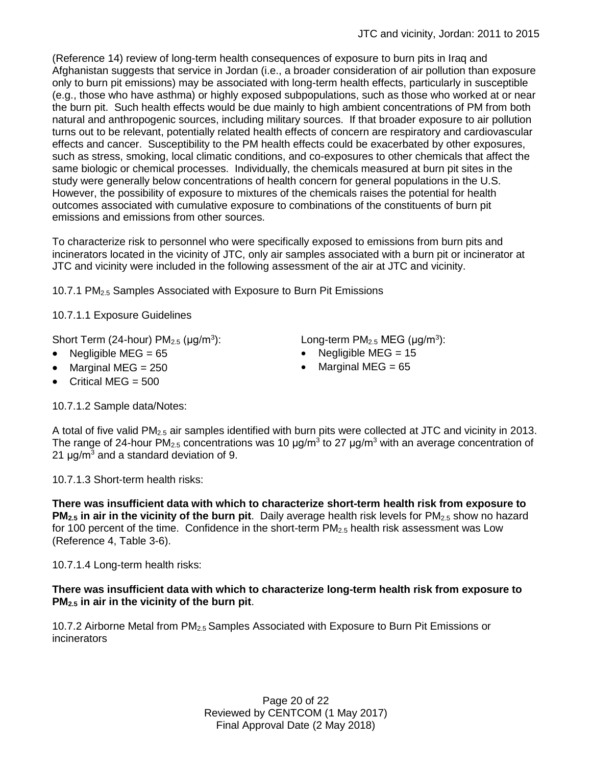(Reference 14) review of long-term health consequences of exposure to burn pits in Iraq and Afghanistan suggests that service in Jordan (i.e., a broader consideration of air pollution than exposure only to burn pit emissions) may be associated with long-term health effects, particularly in susceptible (e.g., those who have asthma) or highly exposed subpopulations, such as those who worked at or near the burn pit. Such health effects would be due mainly to high ambient concentrations of PM from both natural and anthropogenic sources, including military sources. If that broader exposure to air pollution turns out to be relevant, potentially related health effects of concern are respiratory and cardiovascular effects and cancer. Susceptibility to the PM health effects could be exacerbated by other exposures, such as stress, smoking, local climatic conditions, and co-exposures to other chemicals that affect the same biologic or chemical processes. Individually, the chemicals measured at burn pit sites in the study were generally below concentrations of health concern for general populations in the U.S. However, the possibility of exposure to mixtures of the chemicals raises the potential for health outcomes associated with cumulative exposure to combinations of the constituents of burn pit emissions and emissions from other sources.

To characterize risk to personnel who were specifically exposed to emissions from burn pits and incinerators located in the vicinity of JTC, only air samples associated with a burn pit or incinerator at JTC and vicinity were included in the following assessment of the air at JTC and vicinity.

10.7.1 PM2.5 Samples Associated with Exposure to Burn Pit Emissions

10.7.1.1 Exposure Guidelines

Short Term (24-hour)  $PM_{2.5}$  ( $\mu$ g/m<sup>3</sup>):

- 
- Marginal MEG = 250 **Marginal MEG = 65**
- Critical MEG  $= 500$

10.7.1.2 Sample data/Notes:

):  $Long-term PM_{2.5} MEG (µg/m<sup>3</sup>):$ 

- Negligible MEG = 65 Negligible MEG = 15
	-

A total of five valid PM2.5 air samples identified with burn pits were collected at JTC and vicinity in 2013. The range of 24-hour PM<sub>2.5</sub> concentrations was 10  $\mu$ g/m<sup>3</sup> to 27  $\mu$ g/m<sup>3</sup> with an average concentration of 21  $\mu$ g/m<sup>3</sup> and a standard deviation of 9.

10.7.1.3 Short-term health risks:

**There was insufficient data with which to characterize short-term health risk from exposure to PM<sub>2.5</sub>** in air in the vicinity of the burn pit. Daily average health risk levels for PM<sub>2.5</sub> show no hazard for 100 percent of the time. Confidence in the short-term  $PM_{2.5}$  health risk assessment was Low (Reference 4, Table 3-6).

10.7.1.4 Long-term health risks:

## **There was insufficient data with which to characterize long-term health risk from exposure to PM2.5 in air in the vicinity of the burn pit**.

10.7.2 Airborne Metal from PM<sub>2.5</sub> Samples Associated with Exposure to Burn Pit Emissions or **incinerators**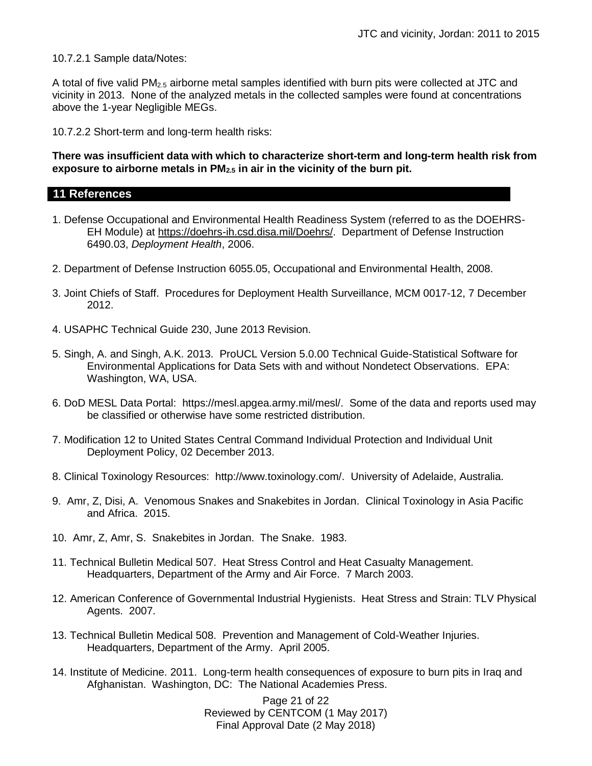10.7.2.1 Sample data/Notes:

A total of five valid PM2.5 airborne metal samples identified with burn pits were collected at JTC and vicinity in 2013. None of the analyzed metals in the collected samples were found at concentrations above the 1-year Negligible MEGs.

10.7.2.2 Short-term and long-term health risks:

## **There was insufficient data with which to characterize short-term and long-term health risk from exposure to airborne metals in PM2.5 in air in the vicinity of the burn pit.**

# **11 References**

- 1. Defense Occupational and Environmental Health Readiness System (referred to as the DOEHRS-EH Module) at [https://doehrs-ih.csd.disa.mil/Doehrs/.](https://doehrs-ih.csd.disa.mil/Doehrs/) Department of Defense Instruction 6490.03, *Deployment Health*, 2006.
- 2. Department of Defense Instruction 6055.05, Occupational and Environmental Health, 2008.
- 3. Joint Chiefs of Staff. Procedures for Deployment Health Surveillance, MCM 0017-12, 7 December 2012.
- 4. USAPHC Technical Guide 230, June 2013 Revision.
- 5. Singh, A. and Singh, A.K. 2013. ProUCL Version 5.0.00 Technical Guide-Statistical Software for Environmental Applications for Data Sets with and without Nondetect Observations. EPA: Washington, WA, USA.
- 6. DoD MESL Data Portal: https://mesl.apgea.army.mil/mesl/. Some of the data and reports used may be classified or otherwise have some restricted distribution.
- 7. Modification 12 to United States Central Command Individual Protection and Individual Unit Deployment Policy, 02 December 2013.
- 8. Clinical Toxinology Resources: http://www.toxinology.com/. University of Adelaide, Australia.
- 9. Amr, Z, Disi, A. Venomous Snakes and Snakebites in Jordan. Clinical Toxinology in Asia Pacific and Africa. 2015.
- 10. Amr, Z, Amr, S. Snakebites in Jordan. The Snake. 1983.
- 11. Technical Bulletin Medical 507. Heat Stress Control and Heat Casualty Management. Headquarters, Department of the Army and Air Force. 7 March 2003.
- 12. American Conference of Governmental Industrial Hygienists. Heat Stress and Strain: TLV Physical Agents. 2007.
- 13. Technical Bulletin Medical 508. Prevention and Management of Cold-Weather Injuries. Headquarters, Department of the Army. April 2005.
- 14. Institute of Medicine. 2011. Long-term health consequences of exposure to burn pits in Iraq and Afghanistan. Washington, DC: The National Academies Press.

Page 21 of 22 Reviewed by CENTCOM (1 May 2017) Final Approval Date (2 May 2018)